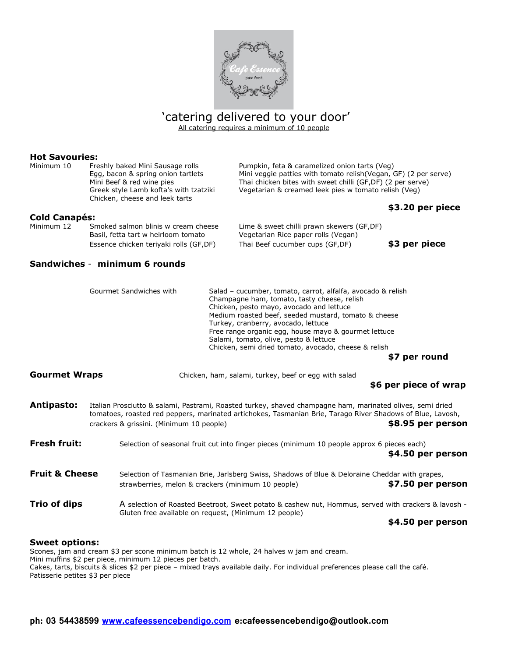

# 'catering delivered to your door'

All catering requires a minimum of 10 people

#### **Hot Savouries:**

Minimum 10 Freshly baked Mini Sausage rolls Pumpkin, feta & caramelized onion tarts (Veg) Chicken, cheese and leek tarts

Egg, bacon & spring onion tartlets Mini veggie patties with tomato relish(Vegan, GF) (2 per serve) Mini Beef & red wine pies Thai chicken bites with sweet chilli (GF,DF) (2 per serve) Greek style Lamb kofta's with tzatziki Vegetarian & creamed leek pies w tomato relish (Veg)

#### **\$3.20 per piece**

| <b>Cold Canapés:</b> |                                                                            |                                                                                  |               |  |  |
|----------------------|----------------------------------------------------------------------------|----------------------------------------------------------------------------------|---------------|--|--|
| Minimum 12           | Smoked salmon blinis w cream cheese<br>Basil, fetta tart w heirloom tomato | Lime & sweet chilli prawn skewers (GF,DF)<br>Vegetarian Rice paper rolls (Vegan) |               |  |  |
|                      | Essence chicken teriyaki rolls (GF,DF)                                     | Thai Beef cucumber cups (GF,DF)                                                  | \$3 per piece |  |  |

#### **Sandwiches** - **minimum 6 rounds**

|                           | Gourmet Sandwiches with | Salad – cucumber, tomato, carrot, alfalfa, avocado & relish<br>Champagne ham, tomato, tasty cheese, relish<br>Chicken, pesto mayo, avocado and lettuce<br>Medium roasted beef, seeded mustard, tomato & cheese<br>Turkey, cranberry, avocado, lettuce<br>Free range organic egg, house mayo & gourmet lettuce<br>Salami, tomato, olive, pesto & lettuce<br>Chicken, semi dried tomato, avocado, cheese & relish<br>\$7 per round |  |  |
|---------------------------|-------------------------|----------------------------------------------------------------------------------------------------------------------------------------------------------------------------------------------------------------------------------------------------------------------------------------------------------------------------------------------------------------------------------------------------------------------------------|--|--|
| <b>Gourmet Wraps</b>      |                         | Chicken, ham, salami, turkey, beef or egg with salad<br>\$6 per piece of wrap                                                                                                                                                                                                                                                                                                                                                    |  |  |
| Antipasto:                |                         | Italian Prosciutto & salami, Pastrami, Roasted turkey, shaved champagne ham, marinated olives, semi dried<br>tomatoes, roasted red peppers, marinated artichokes, Tasmanian Brie, Tarago River Shadows of Blue, Lavosh,<br>\$8.95 per person<br>crackers & grissini. (Minimum 10 people)                                                                                                                                         |  |  |
| <b>Fresh fruit:</b>       |                         | Selection of seasonal fruit cut into finger pieces (minimum 10 people approx 6 pieces each)<br>\$4.50 per person                                                                                                                                                                                                                                                                                                                 |  |  |
| <b>Fruit &amp; Cheese</b> |                         | Selection of Tasmanian Brie, Jarlsberg Swiss, Shadows of Blue & Deloraine Cheddar with grapes,<br>\$7.50 per person<br>strawberries, melon & crackers (minimum 10 people)                                                                                                                                                                                                                                                        |  |  |
| Trio of dips              |                         | A selection of Roasted Beetroot, Sweet potato & cashew nut, Hommus, served with crackers & lavosh -<br>Gluten free available on request, (Minimum 12 people)<br>\$4.50 per person                                                                                                                                                                                                                                                |  |  |

#### **Sweet options:**

Scones, jam and cream \$3 per scone minimum batch is 12 whole, 24 halves w jam and cream. Mini muffins \$2 per piece, minimum 12 pieces per batch. Cakes, tarts, biscuits & slices \$2 per piece – mixed trays available daily. For individual preferences please call the café. Patisserie petites \$3 per piece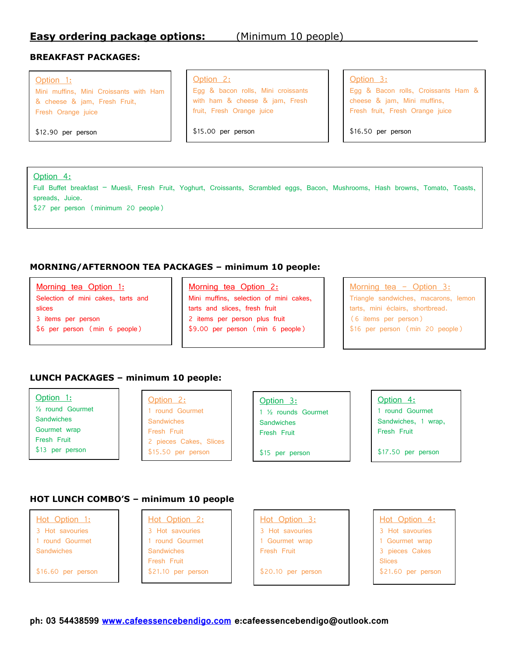## **Easy ordering package options:** (Minimum 10 people)

### **BREAKFAST PACKAGES:**

#### Option 1:

Mini muffins, Mini Croissants with Ham & cheese & jam, Fresh Fruit, Fresh Orange juice

\$12.90 per person

## Option 2:

Egg & bacon rolls, Mini croissants with ham & cheese & jam, Fresh fruit, Fresh Orange juice

\$15.00 per person

## Option 3:

Egg & Bacon rolls, Croissants Ham & cheese & jam, Mini muffins, Fresh fruit, Fresh Orange juice

\$16.50 per person

#### Option 4:

Full Buffet breakfast – Muesli, Fresh Fruit, Yoghurt, Croissants, Scrambled eggs, Bacon, Mushrooms, Hash browns, Tomato, Toasts, spreads, Juice.

\$27 per person (minimum 20 people)

## **MORNING/AFTERNOON TEA PACKAGES – minimum 10 people:**

Morning tea Option 1:

- Selection of mini cakes, tarts and slices 3 items per person
- \$6 per person (min 6 people)

#### Morning tea Option 2:

Mini muffins, selection of mini cakes, tarts and slices, fresh fruit 2 items per person plus fruit \$9.00 per person (min 6 people)

## Morning tea - Option 3: Triangle sandwiches, macarons, lemon tarts, mini éclairs, shortbread. (6 items per person) \$16 per person (min 20 people)

#### **LUNCH PACKAGES – minimum 10 people:**

Option 1: ½ round Gourmet

**Sandwiches** Gourmet wrap Fresh Fruit \$13 per person

#### Option 2:

1 round Gourmet **Sandwiches** Fresh Fruit 2 pieces Cakes, Slices \$15.50 per person

Option 3: 1 ½ rounds Gourmet **Sandwiches** Fresh Fruit

\$15 per person

Option 4: 1 round Gourmet Sandwiches, 1 wrap, Fresh Fruit

\$17.50 per person

## **HOT LUNCH COMBO'S – minimum 10 people**

Hot Option 1: 3 Hot savouries 1 round Gourmet Sandwiches

\$16.60 per person

#### Hot Option 2: 3 Hot savouries 1 round Gourmet Sandwiches Fresh Fruit \$21.10 per person



Hot Option 4: 3 Hot savouries 1 Gourmet wrap 3 pieces Cakes Slices \$21.60 per person